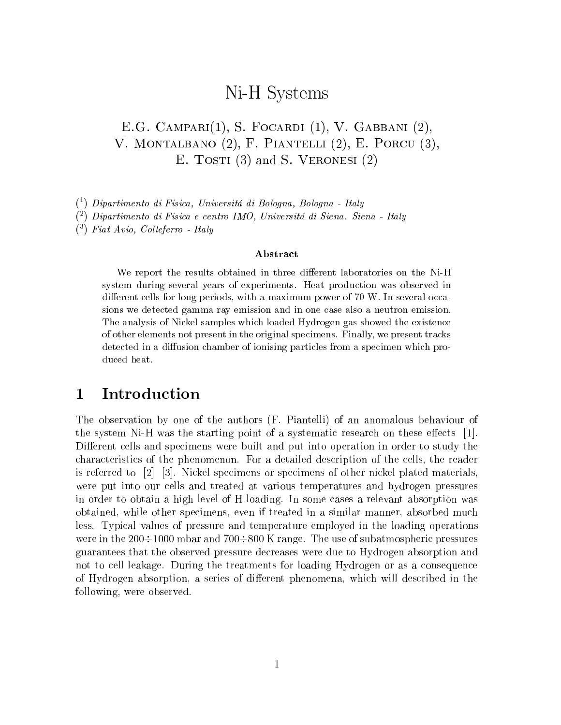# Ni-H Systems

### E.G. Campari(1), S. Focardi (1), V. Gabbani (2), V. Montalbano (2), F. Piantelli (2), E. Porcu (3), E. TOSTI  $(3)$  and S. VERONESI  $(2)$

( 1) Dipartimento di Fisica, Universita di Bologna, Bologna - Italy

( 2) Dipartimento di Fisica e centro IMO, Universita di Siena. Siena - Italy

( 3) Fiat Avio, Col leferro - Italy

### Abstract

We report the results obtained in three dierent laboratories on the Ni-H system during several years of experiments. Heat production was observed in different cells for long periods, with a maximum power of 70 W. In several occasions we detected gamma ray emission and in one case also <sup>a</sup> neutron emission. The analysis of Nickel samples which loaded Hydrogen gas showed the existenceof other elements not present in the original specimens. Finally, we present tracks detected in a diffusion chamber of ionising particles from a specimen which produced heat.

#### 1Introduction

The observation by one of the authors (F. Piantelli) of an anomalous behaviour of the system Ni-H was the starting point of a systematic research on these effects  $[1]$ . Different cells and specimens were built and put into operation in order to study the characteristics of the phenomenon. For a detailed description of the cells, the reader is referred to [2] [3]. Nickel specimens or specimens of other nickel plated materials, were put into our cells and treated at various temperatures and hydrogen pressures in order to obtain a high level of H-loading. In some cases a relevant absorption was obtained, while other specimens, even if treated in a similar manner, absorbed much less. Typical values of pressure and temperature employed in the loading operations were in the  $200\div1000$  mbar and  $700\div800$  K range. The use of subatmospheric pressures guarantees that the observed pressure decreases were due to Hydrogen absorption and not to cell leakage. During the treatments for loading Hydrogen or as a consequence of Hydrogen absorption, a series of different phenomena, which will described in the following, were observed.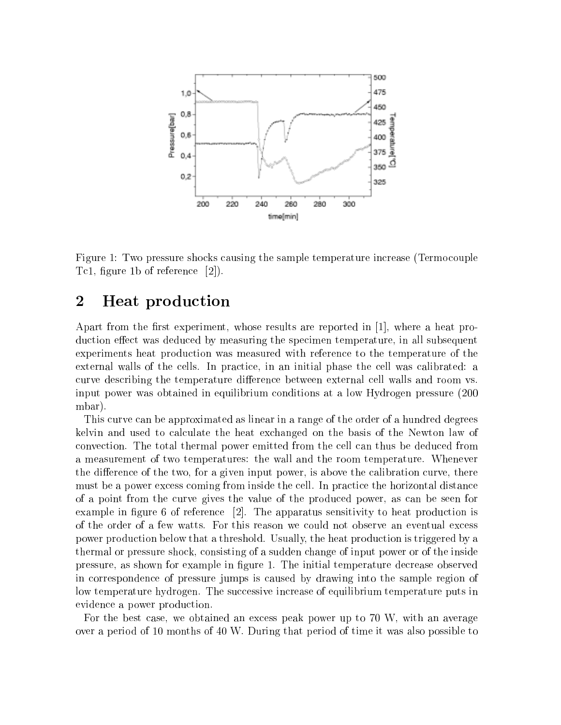

Figure 1: Two pressure shocks causing the sample temperature increase (Termocouple Tc1, figure 1b of reference  $[2]$ ).

#### 2Heat production

Apart from the first experiment, whose results are reported in  $[1]$ , where a heat production effect was deduced by measuring the specimen temperature, in all subsequent experiments heat production was measured with reference to the temperature of the external walls of the cells. In practice, in an initial phase the cell was calibrated: a curve describing the temperature difference between external cell walls and room vs. input power was obtained in equilibrium conditions at a low Hydrogen pressure (200 mbar).

This curve can be approximated as linear in a range of the order of a hundred degrees kelvin and used to calculate the heat exchanged on the basis of the Newton law of convection. The total thermal power emitted from the cell can thus be deduced from a measurement of two temperatures: the wall and the room temperature. Whenever the difference of the two, for a given input power, is above the calibration curve, there must be a power excess coming from inside the cell. In practice the horizontal distance of a point from the curve gives the value of the produced power, as can be seen for example in figure 6 of reference  $\lceil 2 \rceil$ . The apparatus sensitivity to heat production is of the order of a few watts. For this reason we could not observe an eventual excess power production below that a threshold. Usually, the heat production is triggered by a thermal or pressure shock, consisting of a sudden change of input power or of the inside pressure, as shown for example in figure 1. The initial temperature decrease observed in correspondence of pressure jumps is caused by drawing into the sample region of low temperature hydrogen. The successive increase of equilibrium temperature puts in evidence a power production.

For the best case, we obtained an excess peak power up to 70 W, with an average over a period of 10 months of 40 W. During that period of time it was also possible to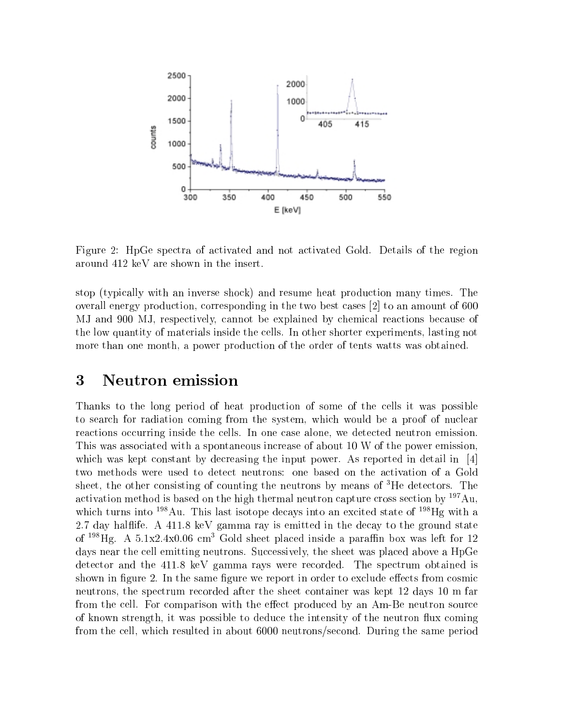

Figure 2: HpGe spectra of activated and not activated Gold. Details of the region around 412 keV are shown in the insert.

stop (typically with an inverse shock) and resume heat production many times. The overall energy production, corresponding in the two best cases [2] to an amount of 600 MJ and 900 MJ, respectively, cannot be explained by chemical reactions because of the low quantity of materials inside the cells. In other shorter experiments, lasting not more than one month, a power production of the order of tents watts was obtained.

#### 3Neutron emission

Thanks to the long period of heat production of some of the cells it was possible to search for radiation coming from the system, which would be a proof of nuclear reactions occurring inside the cells. In one case alone, we detected neutron emission. This was associated with a spontaneous increase of about 10 W of the power emission, which was kept constant by decreasing the input power. As reported in detail in  $\left[4\right]$ two methods were used to detect neutrons: one based on the activation of a Gold sheet, the other consisting of counting the neutrons by means of 3He detectors. The activation method is based on the high thermal neutron capture cross section by 197Au, which turns into <sup>198</sup>Au. This last isotope decays into an excited state of <sup>198</sup>Hg with a 2.7 day hal
ife. A 411.8 keV gamma ray is emitted in the decay to the ground state of  $198$ Hg. A 5.1x2.4x0.06 cm<sup>3</sup> Gold sheet placed inside a paraffin box was left for 12 days near the cell emitting neutrons. Successively, the sheet was placed above a HpGe detector and the 411.8 keV gamma rays were recorded. The spectrum obtained is shown in figure 2. In the same figure we report in order to exclude effects from cosmic neutrons, the spectrum recorded after the sheet container was kept 12 days 10 m far from the cell. For comparison with the effect produced by an Am-Be neutron source of known strength, it was possible to deduce the intensity of the neutron flux coming from the cell, which resulted in about 6000 neutrons/second. During the same period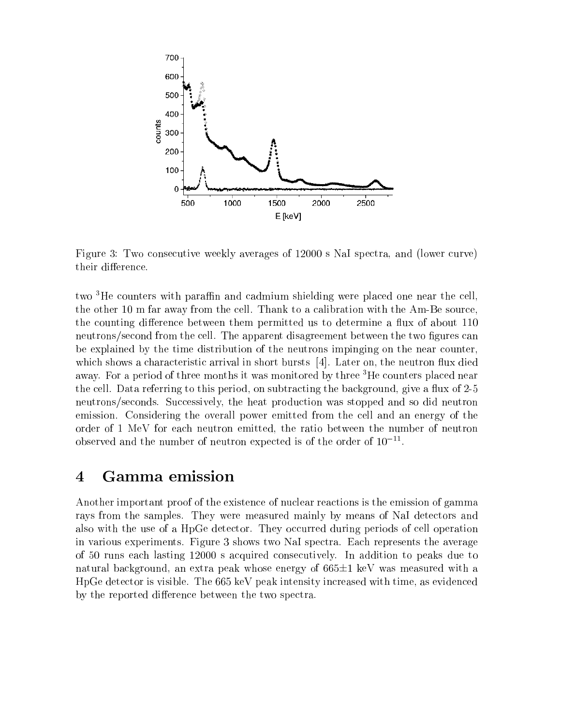

Figure 3: Two consecutive weekly averages of 12000 s NaI spectra, and (lower curve) their difference.

two  ${}^{3}$ He counters with paraffin and cadmium shielding were placed one near the cell, the other 10 m far away from the cell. Thank to a calibration with the Am-Be source, the counting difference between them permitted us to determine a flux of about 110 neutrons/second from the cell. The apparent disagreement between the two figures can be explained by the time distribution of the neutrons impinging on the near counter, which shows a characteristic arrival in short bursts  $[4]$ . Later on, the neutron flux died away. For a period of three months it was monitored by three <sup>3</sup>He counters placed near the cell. Data referring to this period, on subtracting the background, give a flux of 2-5 neutrons/seconds. Successively, the heat production was stopped and so did neutron emission. Considering the overall power emitted from the cell and an energy of the order of 1 MeV for each neutron emitted, the ratio between the number of neutron observed and the number of neutron expected is of the order of  $10^{-11}$ .

#### 4Gamma emission

Another important proof of the existence of nuclear reactions is the emission of gamma rays from the samples. They were measured mainly by means of NaI detectors and also with the use of a HpGe detector. They occurred during periods of cell operation in various experiments. Figure 3 shows two NaI spectra. Each represents the average of 50 runs each lasting 12000 sacquired consecutively. In addition to peaks due to natural background, an extra peak whose energy of  $665\pm1$  keV was measured with a HpGe detector is visible. The 665 keV peak intensity increased with time, as evidenced by the reported difference between the two spectra.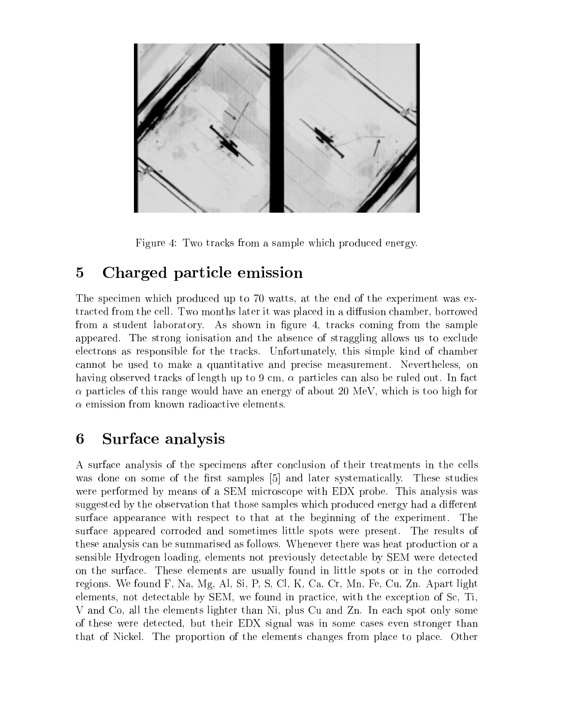

Figure 4: Two tracks from a sample which produced energy.

#### 5Charged particle emission

The specimen which produced up to 70 watts, at the end of the experiment was extracted from the cell. Two months later it was placed in a diffusion chamber, borrowed from a student laboratory. As shown in figure 4, tracks coming from the sample appeared. The strong ionisation and the absence of straggling allows us to exclude electrons as responsible for the tracks. Unfortunately, this simple kind of chamber cannot be used to make a quantitative and precise measurement. Nevertheless, on having observed tracks of length up to 9 cm,  $\alpha$  particles can also be ruled out. In fact  $\alpha$  particles of this range would have an energy of about 20 MeV, which is too high for  $\alpha$  emission from known radioactive elements.

#### 6Surface analysis

A surface analysis of the specimens after conclusion of their treatments in the cells was done on some of the first samples [5] and later systematically. These studies were performed by means of a SEM microscope with EDX probe. This analysis was suggested by the observation that those samples which produced energy had a different surface appearance with respect to that at the beginning of the experiment. The surface appeared corroded and sometimes little spots were present. The results of these analysis can be summarised as follows. Whenever there was heat production or a sensible Hydrogen loading, elements not previously detectable by SEM were detected on the surface. These elements are usually found in little spots or in the corroded regions. We found F, Na, Mg, Al, Si, P, S, Cl, K, Ca, Cr, Mn, Fe, Cu, Zn. Apart light elements, not detectable by SEM, we found in practice, with the exception of Sc, Ti, V and Co, all the elements lighter than Ni, plus Cu and Zn. In each spot only some of these were detected, but their EDX signal was in some cases even stronger than that of Nickel. The proportion of the elements changes from place to place. Other